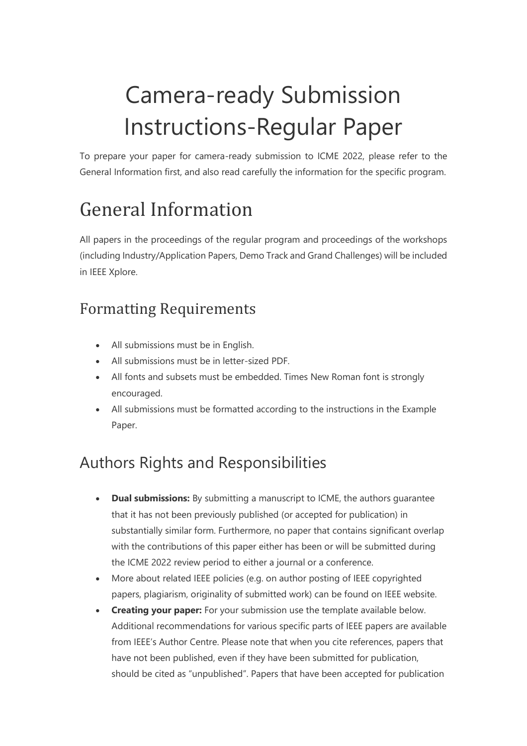# Camera-ready Submission Instructions-Regular Paper

To prepare your paper for camera-ready submission to ICME 2022, please refer to the General Information first, and also read carefully the information for the specific program.

# General Information

All papers in the proceedings of the regular program and proceedings of the workshops (including Industry/Application Papers, Demo Track and Grand Challenges) will be included in IEEE Xplore.

#### Formatting Requirements

- All submissions must be in English.
- All submissions must be in letter-sized PDF.
- All fonts and subsets must be embedded. Times New Roman font is strongly encouraged.
- All submissions must be formatted according to the instructions in the Example Paper.

# Authors Rights and Responsibilities

- **Dual submissions:** By submitting a manuscript to ICME, the authors guarantee that it has not been previously published (or accepted for publication) in substantially similar form. Furthermore, no paper that contains significant overlap with the contributions of this paper either has been or will be submitted during the ICME 2022 review period to either a journal or a conference.
- More about related IEEE policies (e.g. on author posting of IEEE copyrighted papers, plagiarism, originality of submitted work) can be found on IEEE website.
- **Creating your paper:** For your submission use the template available below. Additional recommendations for various specific parts of IEEE papers are available from IEEE's Author Centre. Please note that when you cite references, papers that have not been published, even if they have been submitted for publication, should be cited as "unpublished". Papers that have been accepted for publication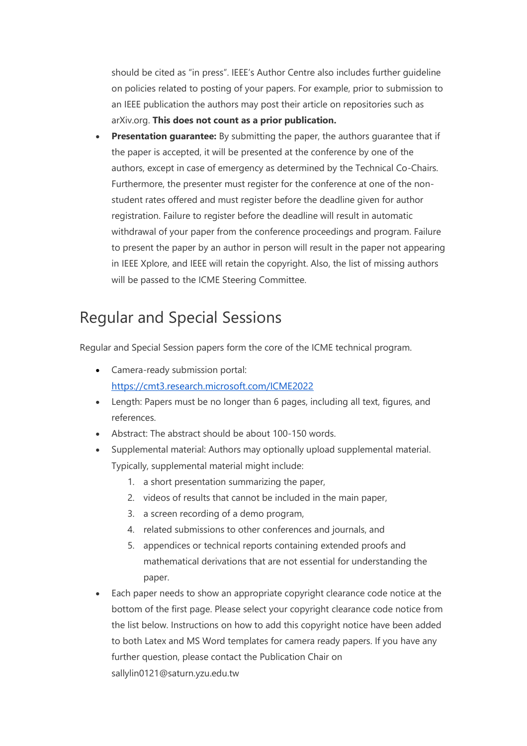should be cited as "in press". IEEE's Author Centre also includes further guideline on policies related to posting of your papers. For example, prior to submission to an IEEE publication the authors may post their article on repositories such as arXiv.org. **This does not count as a prior publication.**

**Presentation guarantee:** By submitting the paper, the authors guarantee that if the paper is accepted, it will be presented at the conference by one of the authors, except in case of emergency as determined by the Technical Co-Chairs. Furthermore, the presenter must register for the conference at one of the nonstudent rates offered and must register before the deadline given for author registration. Failure to register before the deadline will result in automatic withdrawal of your paper from the conference proceedings and program. Failure to present the paper by an author in person will result in the paper not appearing in IEEE Xplore, and IEEE will retain the copyright. Also, the list of missing authors will be passed to the ICME Steering Committee.

#### Regular and Special Sessions

Regular and Special Session papers form the core of the ICME technical program.

- Camera-ready submission portal: <https://cmt3.research.microsoft.com/ICME2022>
- Length: Papers must be no longer than 6 pages, including all text, figures, and references.
- Abstract: The abstract should be about 100-150 words.
- Supplemental material: Authors may optionally upload supplemental material. Typically, supplemental material might include:
	- 1. a short presentation summarizing the paper,
	- 2. videos of results that cannot be included in the main paper,
	- 3. a screen recording of a demo program,
	- 4. related submissions to other conferences and journals, and
	- 5. appendices or technical reports containing extended proofs and mathematical derivations that are not essential for understanding the paper.
- Each paper needs to show an appropriate copyright clearance code notice at the bottom of the first page. Please select your copyright clearance code notice from the list below. Instructions on how to add this copyright notice have been added to both Latex and MS Word templates for camera ready papers. If you have any further question, please contact the Publication Chair on sallylin0121@saturn.yzu.edu.tw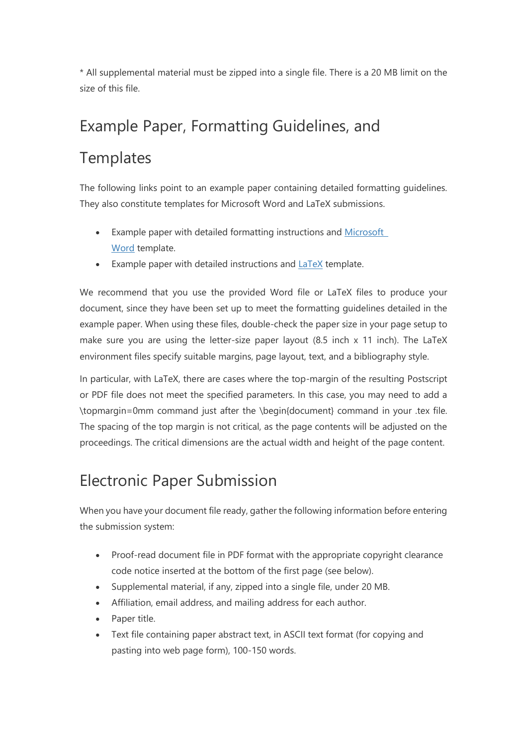\* All supplemental material must be zipped into a single file. There is a 20 MB limit on the size of this file.

# Example Paper, Formatting Guidelines, and

#### **Templates**

The following links point to an example paper containing detailed formatting guidelines. They also constitute templates for Microsoft Word and LaTeX submissions.

- Example paper with detailed formatting instructions and Microsoft [Word](http://2021.ieeeicme.org/2021.ieeeicme.org/assets/MSWord_template_ICME2021-3a3f2961951b87b3ab7cd18c4206532d48cff1aced0c20f1d577f6fb839caadd.docx) template.
- Example paper with detailed instructions and [LaTeX](http://2021.ieeeicme.org/2021.ieeeicme.org/assets/latex_template_ICME2021-f36c1e8ee5a9b1b8baff6d598bbb8a1349c4f5d958ff67bb01194dca2c4efd41.zip) template.

We recommend that you use the provided Word file or LaTeX files to produce your document, since they have been set up to meet the formatting guidelines detailed in the example paper. When using these files, double-check the paper size in your page setup to make sure you are using the letter-size paper layout (8.5 inch x 11 inch). The LaTeX environment files specify suitable margins, page layout, text, and a bibliography style.

In particular, with LaTeX, there are cases where the top-margin of the resulting Postscript or PDF file does not meet the specified parameters. In this case, you may need to add a \topmargin=0mm command just after the \begin{document} command in your .tex file. The spacing of the top margin is not critical, as the page contents will be adjusted on the proceedings. The critical dimensions are the actual width and height of the page content.

### Electronic Paper Submission

When you have your document file ready, gather the following information before entering the submission system:

- Proof-read document file in PDF format with the appropriate copyright clearance code notice inserted at the bottom of the first page (see below).
- Supplemental material, if any, zipped into a single file, under 20 MB.
- Affiliation, email address, and mailing address for each author.
- Paper title.
- Text file containing paper abstract text, in ASCII text format (for copying and pasting into web page form), 100-150 words.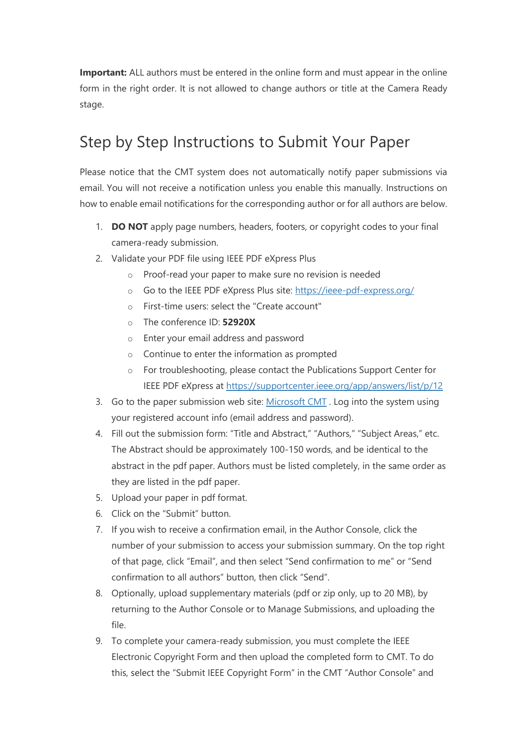**Important:** ALL authors must be entered in the online form and must appear in the online form in the right order. It is not allowed to change authors or title at the Camera Ready stage.

#### Step by Step Instructions to Submit Your Paper

Please notice that the CMT system does not automatically notify paper submissions via email. You will not receive a notification unless you enable this manually. Instructions on how to enable email notifications for the corresponding author or for all authors are below.

- 1. **DO NOT** apply page numbers, headers, footers, or copyright codes to your final camera-ready submission.
- 2. Validate your PDF file using IEEE PDF eXpress Plus
	- o Proof-read your paper to make sure no revision is needed
	- o Go to the IEEE PDF eXpress Plus site: <https://ieee-pdf-express.org/>
	- o First-time users: select the "Create account"
	- o The conference ID: **52920X**
	- o Enter your email address and password
	- o Continue to enter the information as prompted
	- o For troubleshooting, please contact the Publications Support Center for IEEE PDF eXpress at <https://supportcenter.ieee.org/app/answers/list/p/12>
- 3. Go to the paper submission web site: [Microsoft CMT](https://cmt3.research.microsoft.com/ICME2021). Log into the system using your registered account info (email address and password).
- 4. Fill out the submission form: "Title and Abstract," "Authors," "Subject Areas," etc. The Abstract should be approximately 100-150 words, and be identical to the abstract in the pdf paper. Authors must be listed completely, in the same order as they are listed in the pdf paper.
- 5. Upload your paper in pdf format.
- 6. Click on the "Submit" button.
- 7. If you wish to receive a confirmation email, in the Author Console, click the number of your submission to access your submission summary. On the top right of that page, click "Email", and then select "Send confirmation to me" or "Send confirmation to all authors" button, then click "Send".
- 8. Optionally, upload supplementary materials (pdf or zip only, up to 20 MB), by returning to the Author Console or to Manage Submissions, and uploading the file.
- 9. To complete your camera-ready submission, you must complete the IEEE Electronic Copyright Form and then upload the completed form to CMT. To do this, select the "Submit IEEE Copyright Form" in the CMT "Author Console" and